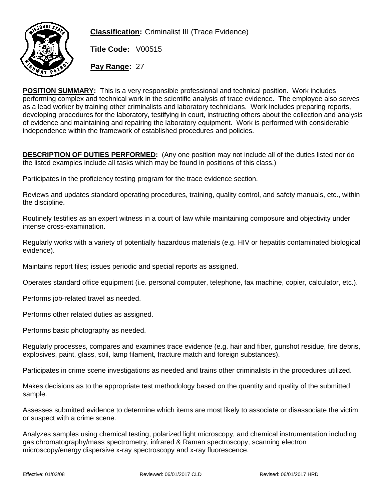

**Classification:** Criminalist III (Trace Evidence)

**Title Code:** V00515

**Pay Range:** 27

**POSITION SUMMARY:** This is a very responsible professional and technical position. Work includes performing complex and technical work in the scientific analysis of trace evidence. The employee also serves as a lead worker by training other criminalists and laboratory technicians. Work includes preparing reports, developing procedures for the laboratory, testifying in court, instructing others about the collection and analysis of evidence and maintaining and repairing the laboratory equipment. Work is performed with considerable independence within the framework of established procedures and policies.

**DESCRIPTION OF DUTIES PERFORMED:** (Any one position may not include all of the duties listed nor do the listed examples include all tasks which may be found in positions of this class.)

Participates in the proficiency testing program for the trace evidence section.

Reviews and updates standard operating procedures, training, quality control, and safety manuals, etc., within the discipline.

Routinely testifies as an expert witness in a court of law while maintaining composure and objectivity under intense cross-examination.

Regularly works with a variety of potentially hazardous materials (e.g. HIV or hepatitis contaminated biological evidence).

Maintains report files; issues periodic and special reports as assigned.

Operates standard office equipment (i.e. personal computer, telephone, fax machine, copier, calculator, etc.).

Performs job-related travel as needed.

Performs other related duties as assigned.

Performs basic photography as needed.

Regularly processes, compares and examines trace evidence (e.g. hair and fiber, gunshot residue, fire debris, explosives, paint, glass, soil, lamp filament, fracture match and foreign substances).

Participates in crime scene investigations as needed and trains other criminalists in the procedures utilized.

Makes decisions as to the appropriate test methodology based on the quantity and quality of the submitted sample.

Assesses submitted evidence to determine which items are most likely to associate or disassociate the victim or suspect with a crime scene.

Analyzes samples using chemical testing, polarized light microscopy, and chemical instrumentation including gas chromatography/mass spectrometry, infrared & Raman spectroscopy, scanning electron microscopy/energy dispersive x-ray spectroscopy and x-ray fluorescence.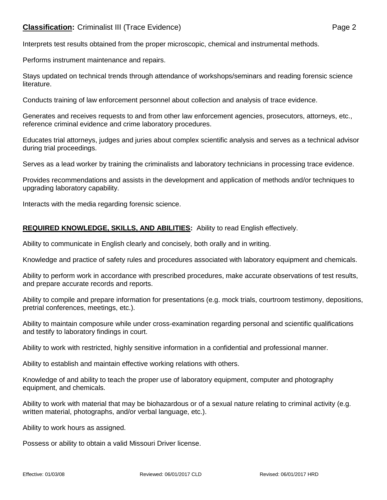# **Classification:** Criminalist III (Trace Evidence) **Page 2** Page 2

Interprets test results obtained from the proper microscopic, chemical and instrumental methods.

Performs instrument maintenance and repairs.

Stays updated on technical trends through attendance of workshops/seminars and reading forensic science literature.

Conducts training of law enforcement personnel about collection and analysis of trace evidence.

Generates and receives requests to and from other law enforcement agencies, prosecutors, attorneys, etc., reference criminal evidence and crime laboratory procedures.

Educates trial attorneys, judges and juries about complex scientific analysis and serves as a technical advisor during trial proceedings.

Serves as a lead worker by training the criminalists and laboratory technicians in processing trace evidence.

Provides recommendations and assists in the development and application of methods and/or techniques to upgrading laboratory capability.

Interacts with the media regarding forensic science.

# **REQUIRED KNOWLEDGE, SKILLS, AND ABILITIES:** Ability to read English effectively.

Ability to communicate in English clearly and concisely, both orally and in writing.

Knowledge and practice of safety rules and procedures associated with laboratory equipment and chemicals.

Ability to perform work in accordance with prescribed procedures, make accurate observations of test results, and prepare accurate records and reports.

Ability to compile and prepare information for presentations (e.g. mock trials, courtroom testimony, depositions, pretrial conferences, meetings, etc.).

Ability to maintain composure while under cross-examination regarding personal and scientific qualifications and testify to laboratory findings in court.

Ability to work with restricted, highly sensitive information in a confidential and professional manner.

Ability to establish and maintain effective working relations with others.

Knowledge of and ability to teach the proper use of laboratory equipment, computer and photography equipment, and chemicals.

Ability to work with material that may be biohazardous or of a sexual nature relating to criminal activity (e.g. written material, photographs, and/or verbal language, etc.).

Ability to work hours as assigned.

Possess or ability to obtain a valid Missouri Driver license.